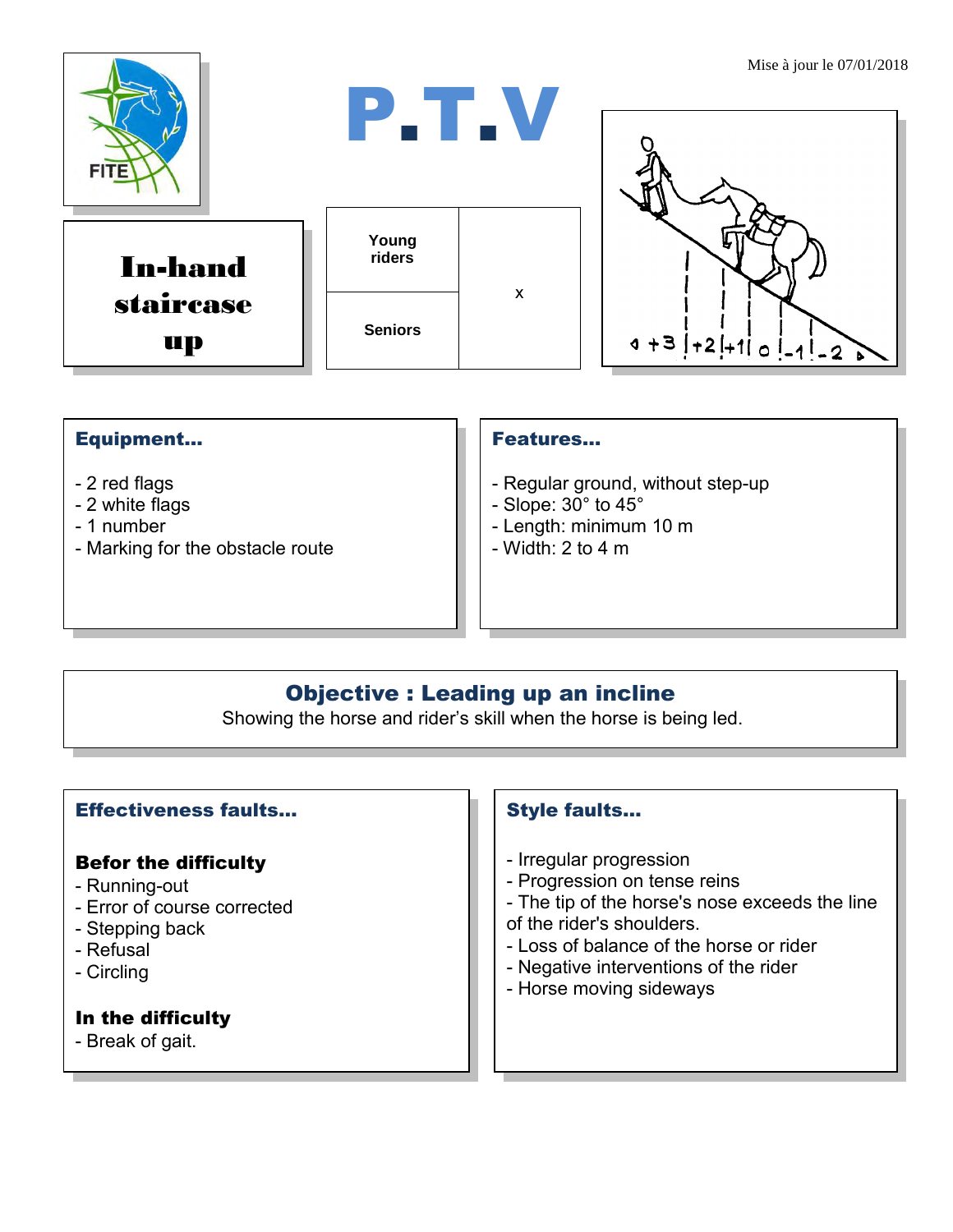

### Equipment...

- 2 red flags
- 2 white flags
- 1 number
- Marking for the obstacle route

#### Features…

- Regular ground, without step-up
- Slope:  $30^\circ$  to  $45^\circ$
- Length: minimum 10 m
- $-$  Width: 2 to 4 m

## Objective : Leading up an incline

Showing the horse and rider's skill when the horse is being led.

#### Effectiveness faults…

#### Befor the difficulty

- Running-out
- Error of course corrected
- Stepping back
- Refusal
- Circling

#### In the difficulty

- Break of gait.

#### Style faults…

- Irregular progression
- Progression on tense reins
- The tip of the horse's nose exceeds the line
- of the rider's shoulders.
- Loss of balance of the horse or rider
- Negative interventions of the rider
- Horse moving sideways